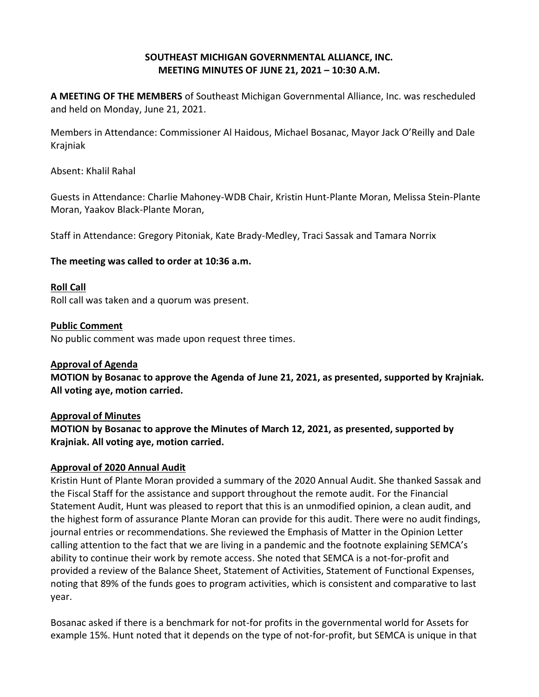## **SOUTHEAST MICHIGAN GOVERNMENTAL ALLIANCE, INC. MEETING MINUTES OF JUNE 21, 2021 – 10:30 A.M.**

**A MEETING OF THE MEMBERS** of Southeast Michigan Governmental Alliance, Inc. was rescheduled and held on Monday, June 21, 2021.

Members in Attendance: Commissioner Al Haidous, Michael Bosanac, Mayor Jack O'Reilly and Dale Krajniak

Absent: Khalil Rahal

Guests in Attendance: Charlie Mahoney-WDB Chair, Kristin Hunt-Plante Moran, Melissa Stein-Plante Moran, Yaakov Black-Plante Moran,

Staff in Attendance: Gregory Pitoniak, Kate Brady-Medley, Traci Sassak and Tamara Norrix

### **The meeting was called to order at 10:36 a.m.**

### **Roll Call**

Roll call was taken and a quorum was present.

### **Public Comment**

No public comment was made upon request three times.

## **Approval of Agenda**

**MOTION by Bosanac to approve the Agenda of June 21, 2021, as presented, supported by Krajniak. All voting aye, motion carried.**

## **Approval of Minutes**

**MOTION by Bosanac to approve the Minutes of March 12, 2021, as presented, supported by Krajniak. All voting aye, motion carried.**

#### **Approval of 2020 Annual Audit**

Kristin Hunt of Plante Moran provided a summary of the 2020 Annual Audit. She thanked Sassak and the Fiscal Staff for the assistance and support throughout the remote audit. For the Financial Statement Audit, Hunt was pleased to report that this is an unmodified opinion, a clean audit, and the highest form of assurance Plante Moran can provide for this audit. There were no audit findings, journal entries or recommendations. She reviewed the Emphasis of Matter in the Opinion Letter calling attention to the fact that we are living in a pandemic and the footnote explaining SEMCA's ability to continue their work by remote access. She noted that SEMCA is a not-for-profit and provided a review of the Balance Sheet, Statement of Activities, Statement of Functional Expenses, noting that 89% of the funds goes to program activities, which is consistent and comparative to last year.

Bosanac asked if there is a benchmark for not-for profits in the governmental world for Assets for example 15%. Hunt noted that it depends on the type of not-for-profit, but SEMCA is unique in that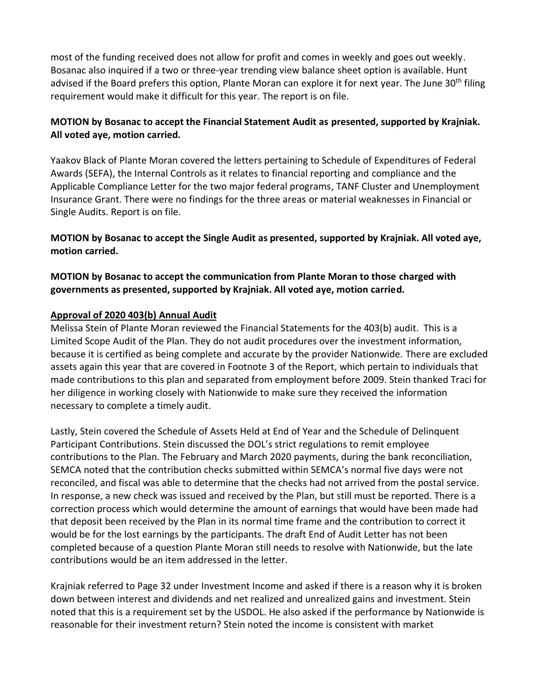most of the funding received does not allow for profit and comes in weekly and goes out weekly. Bosanac also inquired if a two or three-year trending view balance sheet option is available. Hunt advised if the Board prefers this option, Plante Moran can explore it for next year. The June 30<sup>th</sup> filing requirement would make it difficult for this year. The report is on file.

## **MOTION by Bosanac to accept the Financial Statement Audit as presented, supported by Krajniak. All voted aye, motion carried.**

Yaakov Black of Plante Moran covered the letters pertaining to Schedule of Expenditures of Federal Awards (SEFA), the Internal Controls as it relates to financial reporting and compliance and the Applicable Compliance Letter for the two major federal programs, TANF Cluster and Unemployment Insurance Grant. There were no findings for the three areas or material weaknesses in Financial or Single Audits. Report is on file.

# **MOTION by Bosanac to accept the Single Audit as presented, supported by Krajniak. All voted aye, motion carried.**

**MOTION by Bosanac to accept the communication from Plante Moran to those charged with governments as presented, supported by Krajniak. All voted aye, motion carried.**

# **Approval of 2020 403(b) Annual Audit**

Melissa Stein of Plante Moran reviewed the Financial Statements for the 403(b) audit. This is a Limited Scope Audit of the Plan. They do not audit procedures over the investment information, because it is certified as being complete and accurate by the provider Nationwide. There are excluded assets again this year that are covered in Footnote 3 of the Report, which pertain to individuals that made contributions to this plan and separated from employment before 2009. Stein thanked Traci for her diligence in working closely with Nationwide to make sure they received the information necessary to complete a timely audit.

Lastly, Stein covered the Schedule of Assets Held at End of Year and the Schedule of Delinquent Participant Contributions. Stein discussed the DOL's strict regulations to remit employee contributions to the Plan. The February and March 2020 payments, during the bank reconciliation, SEMCA noted that the contribution checks submitted within SEMCA's normal five days were not reconciled, and fiscal was able to determine that the checks had not arrived from the postal service. In response, a new check was issued and received by the Plan, but still must be reported. There is a correction process which would determine the amount of earnings that would have been made had that deposit been received by the Plan in its normal time frame and the contribution to correct it would be for the lost earnings by the participants. The draft End of Audit Letter has not been completed because of a question Plante Moran still needs to resolve with Nationwide, but the late contributions would be an item addressed in the letter.

Krajniak referred to Page 32 under Investment Income and asked if there is a reason why it is broken down between interest and dividends and net realized and unrealized gains and investment. Stein noted that this is a requirement set by the USDOL. He also asked if the performance by Nationwide is reasonable for their investment return? Stein noted the income is consistent with market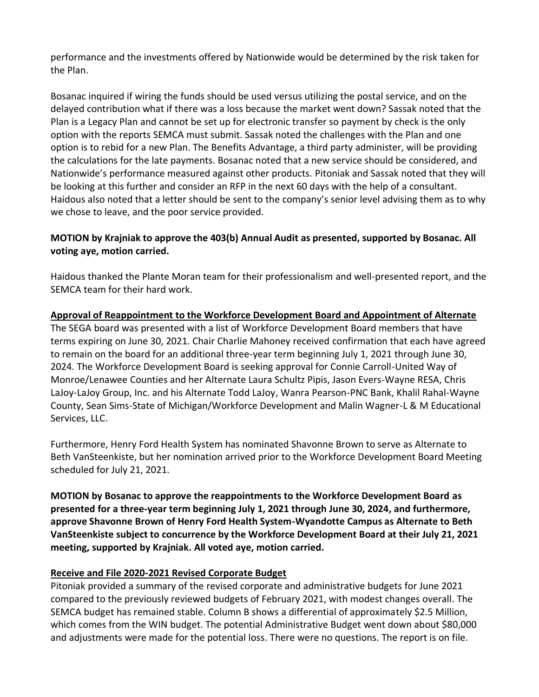performance and the investments offered by Nationwide would be determined by the risk taken for the Plan.

Bosanac inquired if wiring the funds should be used versus utilizing the postal service, and on the delayed contribution what if there was a loss because the market went down? Sassak noted that the Plan is a Legacy Plan and cannot be set up for electronic transfer so payment by check is the only option with the reports SEMCA must submit. Sassak noted the challenges with the Plan and one option is to rebid for a new Plan. The Benefits Advantage, a third party administer, will be providing the calculations for the late payments. Bosanac noted that a new service should be considered, and Nationwide's performance measured against other products. Pitoniak and Sassak noted that they will be looking at this further and consider an RFP in the next 60 days with the help of a consultant. Haidous also noted that a letter should be sent to the company's senior level advising them as to why we chose to leave, and the poor service provided.

# **MOTION by Krajniak to approve the 403(b) Annual Audit as presented, supported by Bosanac. All voting aye, motion carried.**

Haidous thanked the Plante Moran team for their professionalism and well-presented report, and the SEMCA team for their hard work.

# **Approval of Reappointment to the Workforce Development Board and Appointment of Alternate**

The SEGA board was presented with a list of Workforce Development Board members that have terms expiring on June 30, 2021. Chair Charlie Mahoney received confirmation that each have agreed to remain on the board for an additional three-year term beginning July 1, 2021 through June 30, 2024. The Workforce Development Board is seeking approval for Connie Carroll-United Way of Monroe/Lenawee Counties and her Alternate Laura Schultz Pipis, Jason Evers-Wayne RESA, Chris LaJoy-LaJoy Group, Inc. and his Alternate Todd LaJoy, Wanra Pearson-PNC Bank, Khalil Rahal-Wayne County, Sean Sims-State of Michigan/Workforce Development and Malin Wagner-L & M Educational Services, LLC.

Furthermore, Henry Ford Health System has nominated Shavonne Brown to serve as Alternate to Beth VanSteenkiste, but her nomination arrived prior to the Workforce Development Board Meeting scheduled for July 21, 2021.

**MOTION by Bosanac to approve the reappointments to the Workforce Development Board as presented for a three-year term beginning July 1, 2021 through June 30, 2024, and furthermore, approve Shavonne Brown of Henry Ford Health System-Wyandotte Campus as Alternate to Beth VanSteenkiste subject to concurrence by the Workforce Development Board at their July 21, 2021 meeting, supported by Krajniak. All voted aye, motion carried.**

## **Receive and File 2020-2021 Revised Corporate Budget**

Pitoniak provided a summary of the revised corporate and administrative budgets for June 2021 compared to the previously reviewed budgets of February 2021, with modest changes overall. The SEMCA budget has remained stable. Column B shows a differential of approximately \$2.5 Million, which comes from the WIN budget. The potential Administrative Budget went down about \$80,000 and adjustments were made for the potential loss. There were no questions. The report is on file.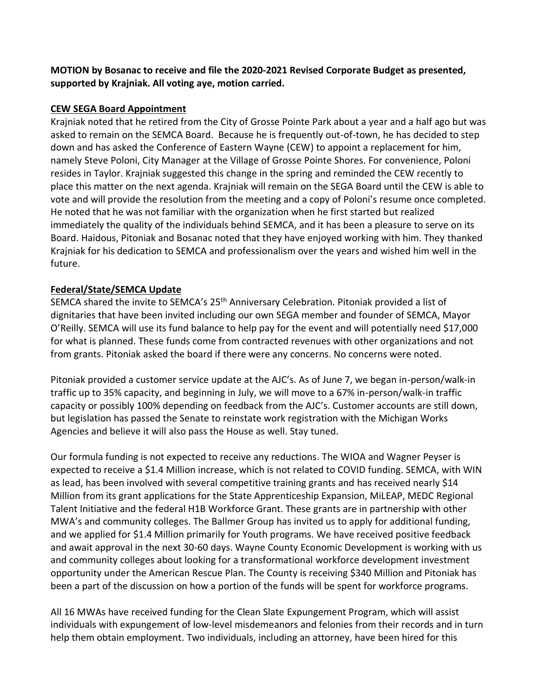**MOTION by Bosanac to receive and file the 2020-2021 Revised Corporate Budget as presented, supported by Krajniak. All voting aye, motion carried.**

### **CEW SEGA Board Appointment**

Krajniak noted that he retired from the City of Grosse Pointe Park about a year and a half ago but was asked to remain on the SEMCA Board. Because he is frequently out-of-town, he has decided to step down and has asked the Conference of Eastern Wayne (CEW) to appoint a replacement for him, namely Steve Poloni, City Manager at the Village of Grosse Pointe Shores. For convenience, Poloni resides in Taylor. Krajniak suggested this change in the spring and reminded the CEW recently to place this matter on the next agenda. Krajniak will remain on the SEGA Board until the CEW is able to vote and will provide the resolution from the meeting and a copy of Poloni's resume once completed. He noted that he was not familiar with the organization when he first started but realized immediately the quality of the individuals behind SEMCA, and it has been a pleasure to serve on its Board. Haidous, Pitoniak and Bosanac noted that they have enjoyed working with him. They thanked Krajniak for his dedication to SEMCA and professionalism over the years and wished him well in the future.

### **Federal/State/SEMCA Update**

SEMCA shared the invite to SEMCA's 25<sup>th</sup> Anniversary Celebration. Pitoniak provided a list of dignitaries that have been invited including our own SEGA member and founder of SEMCA, Mayor O'Reilly. SEMCA will use its fund balance to help pay for the event and will potentially need \$17,000 for what is planned. These funds come from contracted revenues with other organizations and not from grants. Pitoniak asked the board if there were any concerns. No concerns were noted.

Pitoniak provided a customer service update at the AJC's. As of June 7, we began in-person/walk-in traffic up to 35% capacity, and beginning in July, we will move to a 67% in-person/walk-in traffic capacity or possibly 100% depending on feedback from the AJC's. Customer accounts are still down, but legislation has passed the Senate to reinstate work registration with the Michigan Works Agencies and believe it will also pass the House as well. Stay tuned.

Our formula funding is not expected to receive any reductions. The WIOA and Wagner Peyser is expected to receive a \$1.4 Million increase, which is not related to COVID funding. SEMCA, with WIN as lead, has been involved with several competitive training grants and has received nearly \$14 Million from its grant applications for the State Apprenticeship Expansion, MiLEAP, MEDC Regional Talent Initiative and the federal H1B Workforce Grant. These grants are in partnership with other MWA's and community colleges. The Ballmer Group has invited us to apply for additional funding, and we applied for \$1.4 Million primarily for Youth programs. We have received positive feedback and await approval in the next 30-60 days. Wayne County Economic Development is working with us and community colleges about looking for a transformational workforce development investment opportunity under the American Rescue Plan. The County is receiving \$340 Million and Pitoniak has been a part of the discussion on how a portion of the funds will be spent for workforce programs.

All 16 MWAs have received funding for the Clean Slate Expungement Program, which will assist individuals with expungement of low-level misdemeanors and felonies from their records and in turn help them obtain employment. Two individuals, including an attorney, have been hired for this